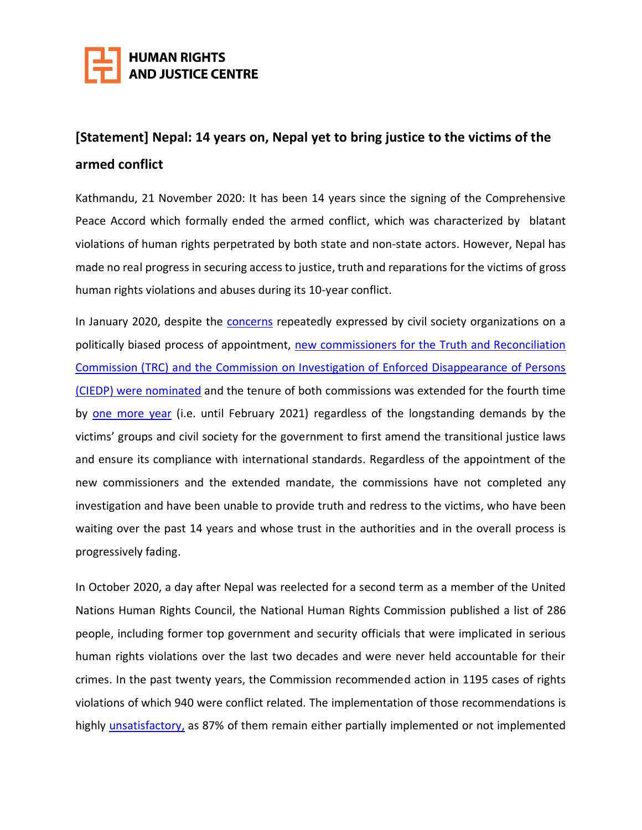

## **[Statement] Nepal: 14 years on, Nepal yet to bring justice to the victims of the armed conflict**

Kathmandu, 21 November 2020: It has been 14 years since the signing of the Comprehensive Peace Accord which formally ended the armed conflict, which was characterized by blatant violations of human rights perpetrated by both state and non-state actors. However, Nepal has made no real progress in securing access to justice, truth and reparations for the victims of gross human rights violations and abuses during its 10-year conflict.

In January 2020, despite the **concerns** repeatedly expressed by civil society organizations on a politically biased process of appointment, new commissioners for the Truth and Reconciliation Commission (TRC) [and the Commission on Investigation of Enforced Disappearance of Persons](https://thehimalayantimes.com/nepal/ten-office-bearers-nominated-for-transitional-justice-bodies/)  (CIEDP) [were nominated](https://thehimalayantimes.com/nepal/ten-office-bearers-nominated-for-transitional-justice-bodies/) and the tenure of both commissions was extended for the fourth time by [one more year](https://english.khabarhub.com/2020/30/72178/) (i.e. until February 2021) regardless of the longstanding demands by the victims' groups and civil society for the government to first amend the transitional justice laws and ensure its compliance with international standards. Regardless of the appointment of the new commissioners and the extended mandate, the commissions have not completed any investigation and have been unable to provide truth and redress to the victims, who have been waiting over the past 14 years and whose trust in the authorities and in the overall process is progressively fading.

In October 2020, a day after Nepal was reelected for a second term as a member of the United Nations Human Rights Council, the National Human Rights Commission published a list of 286 people, including former top government and security officials that were implicated in serious human rights violations over the last two decades and were never held accountable for their crimes. In the past twenty years, the Commission recommended action in 1195 cases of rights violations of which 940 were conflict related. The implementation of those recommendations is highly *unsatisfactory*, as 87% of them remain either partially implemented or not implemented